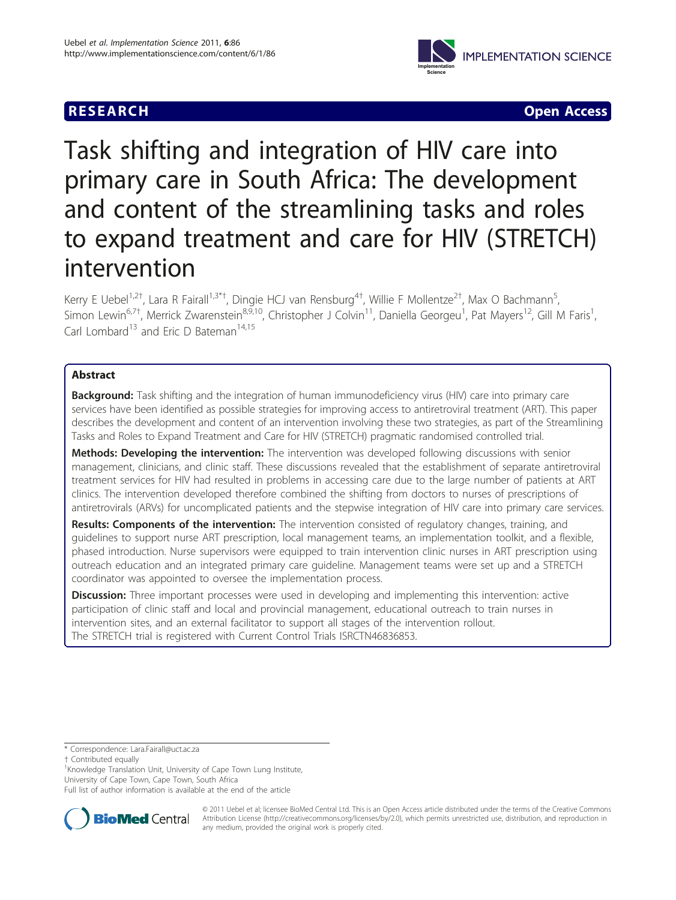# **RESEARCH Open Access**



# Task shifting and integration of HIV care into primary care in South Africa: The development and content of the streamlining tasks and roles to expand treatment and care for HIV (STRETCH) intervention

Kerry E Uebel<sup>1,2†</sup>, Lara R Fairall<sup>1,3\*†</sup>, Dingie HCJ van Rensburg<sup>4†</sup>, Willie F Mollentze<sup>2†</sup>, Max O Bachmann<sup>5</sup> , Simon Lewin<sup>6,7†</sup>, Merrick Zwarenstein<sup>8,9,10</sup>, Christopher J Colvin<sup>11</sup>, Daniella Georgeu<sup>1</sup>, Pat Mayers<sup>12</sup>, Gill M Faris<sup>1</sup> , Carl Lombard<sup>13</sup> and Eric D Bateman<sup>14,15</sup>

# Abstract

Background: Task shifting and the integration of human immunodeficiency virus (HIV) care into primary care services have been identified as possible strategies for improving access to antiretroviral treatment (ART). This paper describes the development and content of an intervention involving these two strategies, as part of the Streamlining Tasks and Roles to Expand Treatment and Care for HIV (STRETCH) pragmatic randomised controlled trial.

Methods: Developing the intervention: The intervention was developed following discussions with senior management, clinicians, and clinic staff. These discussions revealed that the establishment of separate antiretroviral treatment services for HIV had resulted in problems in accessing care due to the large number of patients at ART clinics. The intervention developed therefore combined the shifting from doctors to nurses of prescriptions of antiretrovirals (ARVs) for uncomplicated patients and the stepwise integration of HIV care into primary care services.

Results: Components of the intervention: The intervention consisted of regulatory changes, training, and guidelines to support nurse ART prescription, local management teams, an implementation toolkit, and a flexible, phased introduction. Nurse supervisors were equipped to train intervention clinic nurses in ART prescription using outreach education and an integrated primary care guideline. Management teams were set up and a STRETCH coordinator was appointed to oversee the implementation process.

**Discussion:** Three important processes were used in developing and implementing this intervention: active participation of clinic staff and local and provincial management, educational outreach to train nurses in intervention sites, and an external facilitator to support all stages of the intervention rollout. The STRETCH trial is registered with Current Control Trials [ISRCTN46836853.](http://www.controlled-trials.com/ISRCTN46836853)

\* Correspondence: [Lara.Fairall@uct.ac.za](mailto:Lara.Fairall@uct.ac.za)

† Contributed equally <sup>1</sup>

<sup>1</sup> Knowledge Translation Unit, University of Cape Town Lung Institute, University of Cape Town, Cape Town, South Africa

Full list of author information is available at the end of the article



© 2011 Uebel et al; licensee BioMed Central Ltd. This is an Open Access article distributed under the terms of the Creative Commons Attribution License [\(http://creativecommons.org/licenses/by/2.0](http://creativecommons.org/licenses/by/2.0)), which permits unrestricted use, distribution, and reproduction in any medium, provided the original work is properly cited.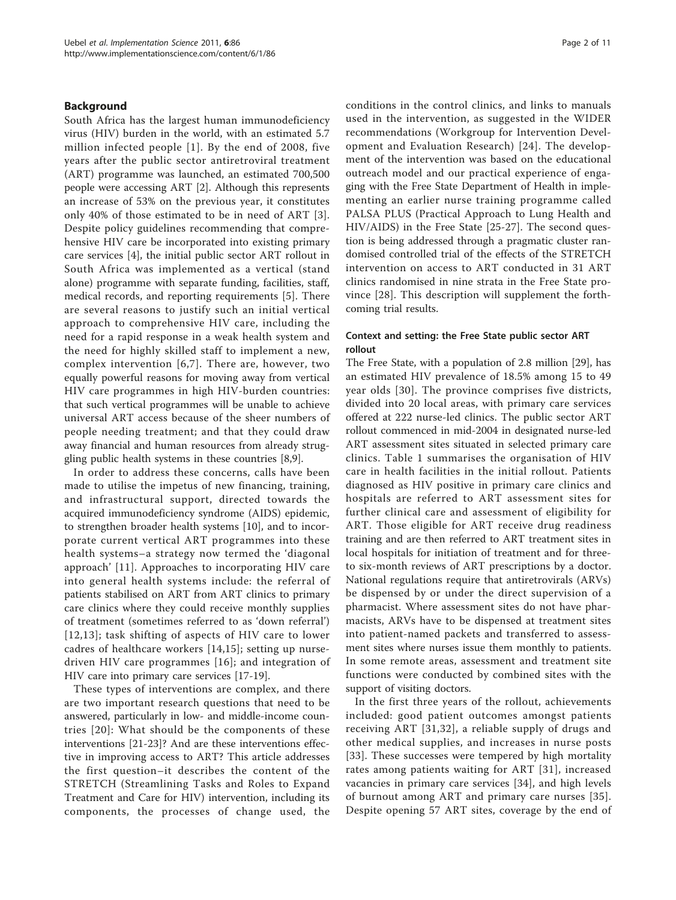#### Background

South Africa has the largest human immunodeficiency virus (HIV) burden in the world, with an estimated 5.7 million infected people [[1](#page-8-0)]. By the end of 2008, five years after the public sector antiretroviral treatment (ART) programme was launched, an estimated 700,500 people were accessing ART [[2\]](#page-8-0). Although this represents an increase of 53% on the previous year, it constitutes only 40% of those estimated to be in need of ART [[3](#page-8-0)]. Despite policy guidelines recommending that comprehensive HIV care be incorporated into existing primary care services [\[4](#page-8-0)], the initial public sector ART rollout in South Africa was implemented as a vertical (stand alone) programme with separate funding, facilities, staff, medical records, and reporting requirements [[5\]](#page-8-0). There are several reasons to justify such an initial vertical approach to comprehensive HIV care, including the need for a rapid response in a weak health system and the need for highly skilled staff to implement a new, complex intervention [[6](#page-8-0),[7](#page-8-0)]. There are, however, two equally powerful reasons for moving away from vertical HIV care programmes in high HIV-burden countries: that such vertical programmes will be unable to achieve universal ART access because of the sheer numbers of people needing treatment; and that they could draw away financial and human resources from already struggling public health systems in these countries [\[8,9](#page-8-0)].

In order to address these concerns, calls have been made to utilise the impetus of new financing, training, and infrastructural support, directed towards the acquired immunodeficiency syndrome (AIDS) epidemic, to strengthen broader health systems [\[10\]](#page-9-0), and to incorporate current vertical ART programmes into these health systems–a strategy now termed the 'diagonal approach' [[11](#page-9-0)]. Approaches to incorporating HIV care into general health systems include: the referral of patients stabilised on ART from ART clinics to primary care clinics where they could receive monthly supplies of treatment (sometimes referred to as 'down referral') [[12,13\]](#page-9-0); task shifting of aspects of HIV care to lower cadres of healthcare workers [[14,15\]](#page-9-0); setting up nursedriven HIV care programmes [[16](#page-9-0)]; and integration of HIV care into primary care services [[17-19\]](#page-9-0).

These types of interventions are complex, and there are two important research questions that need to be answered, particularly in low- and middle-income countries [[20](#page-9-0)]: What should be the components of these interventions [[21-23\]](#page-9-0)? And are these interventions effective in improving access to ART? This article addresses the first question–it describes the content of the STRETCH (Streamlining Tasks and Roles to Expand Treatment and Care for HIV) intervention, including its components, the processes of change used, the conditions in the control clinics, and links to manuals used in the intervention, as suggested in the WIDER recommendations (Workgroup for Intervention Development and Evaluation Research) [[24](#page-9-0)]. The development of the intervention was based on the educational outreach model and our practical experience of engaging with the Free State Department of Health in implementing an earlier nurse training programme called PALSA PLUS (Practical Approach to Lung Health and HIV/AIDS) in the Free State [[25-27](#page-9-0)]. The second question is being addressed through a pragmatic cluster randomised controlled trial of the effects of the STRETCH intervention on access to ART conducted in 31 ART clinics randomised in nine strata in the Free State province [[28\]](#page-9-0). This description will supplement the forthcoming trial results.

#### Context and setting: the Free State public sector ART rollout

The Free State, with a population of 2.8 million [[29\]](#page-9-0), has an estimated HIV prevalence of 18.5% among 15 to 49 year olds [[30](#page-9-0)]. The province comprises five districts, divided into 20 local areas, with primary care services offered at 222 nurse-led clinics. The public sector ART rollout commenced in mid-2004 in designated nurse-led ART assessment sites situated in selected primary care clinics. Table [1](#page-2-0) summarises the organisation of HIV care in health facilities in the initial rollout. Patients diagnosed as HIV positive in primary care clinics and hospitals are referred to ART assessment sites for further clinical care and assessment of eligibility for ART. Those eligible for ART receive drug readiness training and are then referred to ART treatment sites in local hospitals for initiation of treatment and for threeto six-month reviews of ART prescriptions by a doctor. National regulations require that antiretrovirals (ARVs) be dispensed by or under the direct supervision of a pharmacist. Where assessment sites do not have pharmacists, ARVs have to be dispensed at treatment sites into patient-named packets and transferred to assessment sites where nurses issue them monthly to patients. In some remote areas, assessment and treatment site functions were conducted by combined sites with the support of visiting doctors.

In the first three years of the rollout, achievements included: good patient outcomes amongst patients receiving ART [[31](#page-9-0),[32](#page-9-0)], a reliable supply of drugs and other medical supplies, and increases in nurse posts [[33](#page-9-0)]. These successes were tempered by high mortality rates among patients waiting for ART [[31\]](#page-9-0), increased vacancies in primary care services [[34\]](#page-9-0), and high levels of burnout among ART and primary care nurses [[35](#page-9-0)]. Despite opening 57 ART sites, coverage by the end of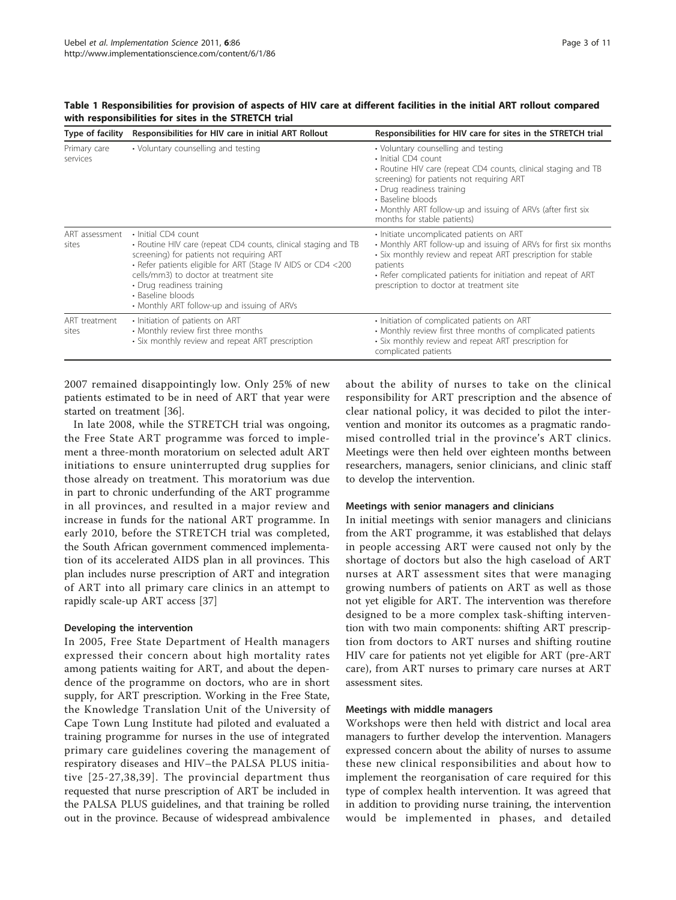| Type of facility         | Responsibilities for HIV care in initial ART Rollout                                                                                                                                                                                                                                                                                                | Responsibilities for HIV care for sites in the STRETCH trial                                                                                                                                                                                                                                                               |  |
|--------------------------|-----------------------------------------------------------------------------------------------------------------------------------------------------------------------------------------------------------------------------------------------------------------------------------------------------------------------------------------------------|----------------------------------------------------------------------------------------------------------------------------------------------------------------------------------------------------------------------------------------------------------------------------------------------------------------------------|--|
| Primary care<br>services | • Voluntary counselling and testing                                                                                                                                                                                                                                                                                                                 | • Voluntary counselling and testing<br>• Initial CD4 count<br>• Routine HIV care (repeat CD4 counts, clinical staging and TB<br>screening) for patients not requiring ART<br>• Drug readiness training<br>• Baseline bloods<br>• Monthly ART follow-up and issuing of ARVs (after first six<br>months for stable patients) |  |
| ART assessment<br>sites  | $\cdot$ Initial CD4 count<br>• Routine HIV care (repeat CD4 counts, clinical staging and TB<br>screening) for patients not requiring ART<br>• Refer patients eligible for ART (Stage IV AIDS or CD4 <200<br>cells/mm3) to doctor at treatment site<br>• Drug readiness training<br>• Baseline bloods<br>• Monthly ART follow-up and issuing of ARVs | · Initiate uncomplicated patients on ART<br>• Monthly ART follow-up and issuing of ARVs for first six months<br>· Six monthly review and repeat ART prescription for stable<br>patients<br>• Refer complicated patients for initiation and repeat of ART<br>prescription to doctor at treatment site                       |  |
| ART treatment<br>sites   | · Initiation of patients on ART<br>• Monthly review first three months<br>• Six monthly review and repeat ART prescription                                                                                                                                                                                                                          | • Initiation of complicated patients on ART<br>• Monthly review first three months of complicated patients<br>• Six monthly review and repeat ART prescription for<br>complicated patients                                                                                                                                 |  |

<span id="page-2-0"></span>Table 1 Responsibilities for provision of aspects of HIV care at different facilities in the initial ART rollout compared with responsibilities for sites in the STRETCH trial

2007 remained disappointingly low. Only 25% of new patients estimated to be in need of ART that year were started on treatment [[36](#page-9-0)].

In late 2008, while the STRETCH trial was ongoing, the Free State ART programme was forced to implement a three-month moratorium on selected adult ART initiations to ensure uninterrupted drug supplies for those already on treatment. This moratorium was due in part to chronic underfunding of the ART programme in all provinces, and resulted in a major review and increase in funds for the national ART programme. In early 2010, before the STRETCH trial was completed, the South African government commenced implementation of its accelerated AIDS plan in all provinces. This plan includes nurse prescription of ART and integration of ART into all primary care clinics in an attempt to rapidly scale-up ART access [[37](#page-9-0)]

#### Developing the intervention

In 2005, Free State Department of Health managers expressed their concern about high mortality rates among patients waiting for ART, and about the dependence of the programme on doctors, who are in short supply, for ART prescription. Working in the Free State, the Knowledge Translation Unit of the University of Cape Town Lung Institute had piloted and evaluated a training programme for nurses in the use of integrated primary care guidelines covering the management of respiratory diseases and HIV–the PALSA PLUS initiative [[25-27,38](#page-9-0),[39](#page-9-0)]. The provincial department thus requested that nurse prescription of ART be included in the PALSA PLUS guidelines, and that training be rolled out in the province. Because of widespread ambivalence

about the ability of nurses to take on the clinical responsibility for ART prescription and the absence of clear national policy, it was decided to pilot the intervention and monitor its outcomes as a pragmatic randomised controlled trial in the province's ART clinics. Meetings were then held over eighteen months between researchers, managers, senior clinicians, and clinic staff to develop the intervention.

#### Meetings with senior managers and clinicians

In initial meetings with senior managers and clinicians from the ART programme, it was established that delays in people accessing ART were caused not only by the shortage of doctors but also the high caseload of ART nurses at ART assessment sites that were managing growing numbers of patients on ART as well as those not yet eligible for ART. The intervention was therefore designed to be a more complex task-shifting intervention with two main components: shifting ART prescription from doctors to ART nurses and shifting routine HIV care for patients not yet eligible for ART (pre-ART care), from ART nurses to primary care nurses at ART assessment sites.

#### Meetings with middle managers

Workshops were then held with district and local area managers to further develop the intervention. Managers expressed concern about the ability of nurses to assume these new clinical responsibilities and about how to implement the reorganisation of care required for this type of complex health intervention. It was agreed that in addition to providing nurse training, the intervention would be implemented in phases, and detailed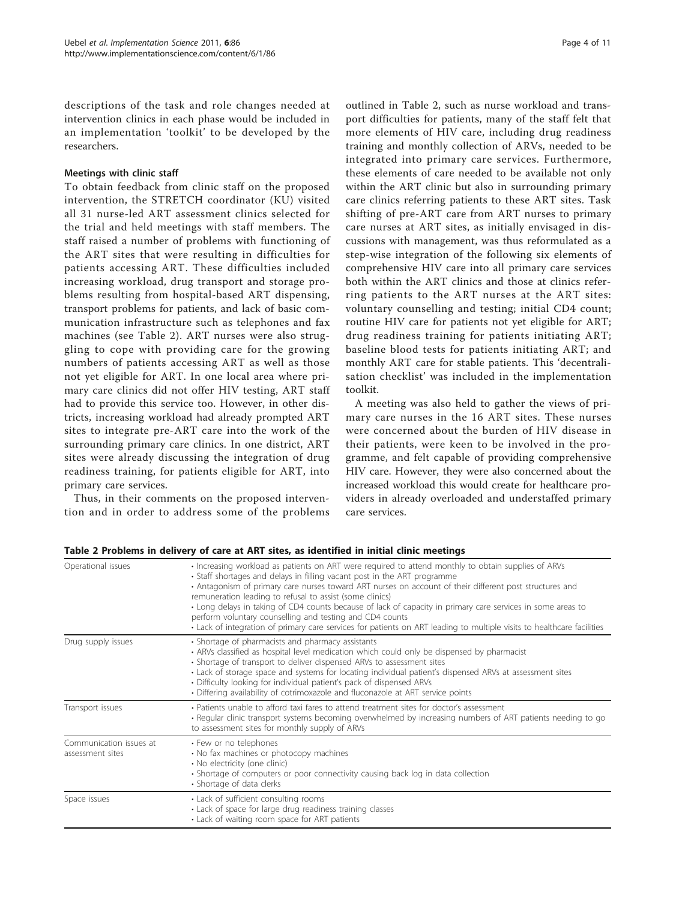<span id="page-3-0"></span>descriptions of the task and role changes needed at intervention clinics in each phase would be included in an implementation 'toolkit' to be developed by the researchers.

#### Meetings with clinic staff

To obtain feedback from clinic staff on the proposed intervention, the STRETCH coordinator (KU) visited all 31 nurse-led ART assessment clinics selected for the trial and held meetings with staff members. The staff raised a number of problems with functioning of the ART sites that were resulting in difficulties for patients accessing ART. These difficulties included increasing workload, drug transport and storage problems resulting from hospital-based ART dispensing, transport problems for patients, and lack of basic communication infrastructure such as telephones and fax machines (see Table 2). ART nurses were also struggling to cope with providing care for the growing numbers of patients accessing ART as well as those not yet eligible for ART. In one local area where primary care clinics did not offer HIV testing, ART staff had to provide this service too. However, in other districts, increasing workload had already prompted ART sites to integrate pre-ART care into the work of the surrounding primary care clinics. In one district, ART sites were already discussing the integration of drug readiness training, for patients eligible for ART, into primary care services.

Thus, in their comments on the proposed intervention and in order to address some of the problems

outlined in Table 2, such as nurse workload and transport difficulties for patients, many of the staff felt that more elements of HIV care, including drug readiness training and monthly collection of ARVs, needed to be integrated into primary care services. Furthermore, these elements of care needed to be available not only within the ART clinic but also in surrounding primary care clinics referring patients to these ART sites. Task shifting of pre-ART care from ART nurses to primary care nurses at ART sites, as initially envisaged in discussions with management, was thus reformulated as a step-wise integration of the following six elements of comprehensive HIV care into all primary care services both within the ART clinics and those at clinics referring patients to the ART nurses at the ART sites: voluntary counselling and testing; initial CD4 count; routine HIV care for patients not yet eligible for ART; drug readiness training for patients initiating ART; baseline blood tests for patients initiating ART; and monthly ART care for stable patients. This 'decentralisation checklist' was included in the implementation toolkit.

A meeting was also held to gather the views of primary care nurses in the 16 ART sites. These nurses were concerned about the burden of HIV disease in their patients, were keen to be involved in the programme, and felt capable of providing comprehensive HIV care. However, they were also concerned about the increased workload this would create for healthcare providers in already overloaded and understaffed primary care services.

| Operational issues                          | • Increasing workload as patients on ART were required to attend monthly to obtain supplies of ARVs<br>• Staff shortages and delays in filling vacant post in the ART programme<br>• Antagonism of primary care nurses toward ART nurses on account of their different post structures and<br>remuneration leading to refusal to assist (some clinics)<br>• Long delays in taking of CD4 counts because of lack of capacity in primary care services in some areas to<br>perform voluntary counselling and testing and CD4 counts<br>• Lack of integration of primary care services for patients on ART leading to multiple visits to healthcare facilities |  |
|---------------------------------------------|-------------------------------------------------------------------------------------------------------------------------------------------------------------------------------------------------------------------------------------------------------------------------------------------------------------------------------------------------------------------------------------------------------------------------------------------------------------------------------------------------------------------------------------------------------------------------------------------------------------------------------------------------------------|--|
| Drug supply issues                          | • Shortage of pharmacists and pharmacy assistants<br>• ARVs classified as hospital level medication which could only be dispensed by pharmacist<br>• Shortage of transport to deliver dispensed ARVs to assessment sites<br>• Lack of storage space and systems for locating individual patient's dispensed ARVs at assessment sites<br>• Difficulty looking for individual patient's pack of dispensed ARVs<br>• Differing availability of cotrimoxazole and fluconazole at ART service points                                                                                                                                                             |  |
| Transport issues                            | • Patients unable to afford taxi fares to attend treatment sites for doctor's assessment<br>• Regular clinic transport systems becoming overwhelmed by increasing numbers of ART patients needing to go<br>to assessment sites for monthly supply of ARVs                                                                                                                                                                                                                                                                                                                                                                                                   |  |
| Communication issues at<br>assessment sites | • Few or no telephones<br>• No fax machines or photocopy machines<br>• No electricity (one clinic)<br>• Shortage of computers or poor connectivity causing back log in data collection<br>• Shortage of data clerks                                                                                                                                                                                                                                                                                                                                                                                                                                         |  |
| Space issues                                | • Lack of sufficient consulting rooms<br>· Lack of space for large drug readiness training classes<br>• Lack of waiting room space for ART patients                                                                                                                                                                                                                                                                                                                                                                                                                                                                                                         |  |

Table 2 Problems in delivery of care at ART sites, as identified in initial clinic meetings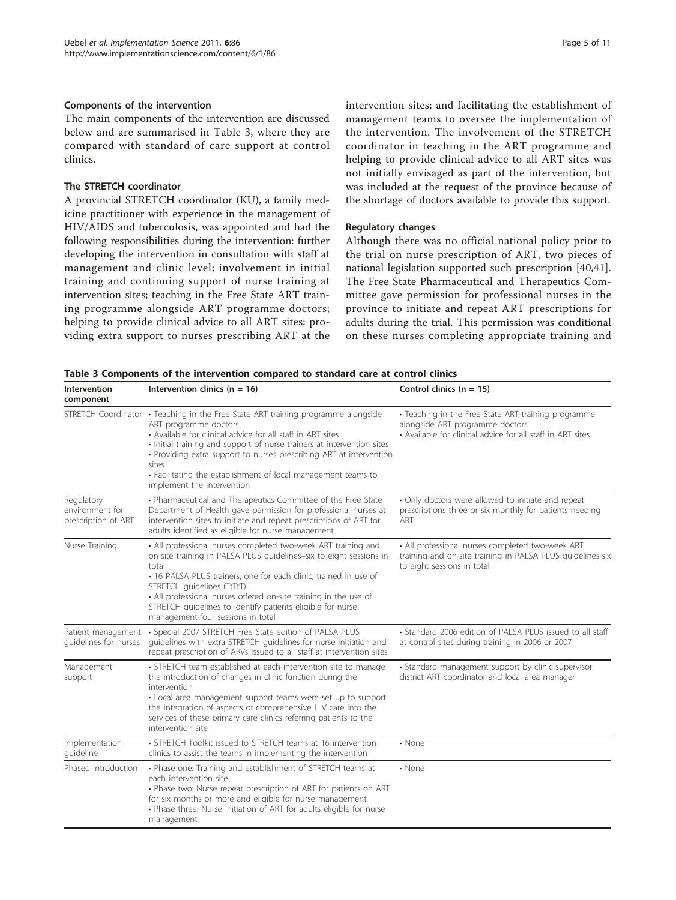#### Components of the intervention

The main components of the intervention are discussed below and are summarised in Table 3, where they are compared with standard of care support at control clinics.

#### The STRETCH coordinator

A provincial STRETCH coordinator (KU), a family medicine practitioner with experience in the management of HIV/AIDS and tuberculosis, was appointed and had the following responsibilities during the intervention: further developing the intervention in consultation with staff at management and clinic level; involvement in initial training and continuing support of nurse training at intervention sites; teaching in the Free State ART training programme alongside ART programme doctors; helping to provide clinical advice to all ART sites; providing extra support to nurses prescribing ART at the

intervention sites; and facilitating the establishment of management teams to oversee the implementation of the intervention. The involvement of the STRETCH coordinator in teaching in the ART programme and helping to provide clinical advice to all ART sites was not initially envisaged as part of the intervention, but was included at the request of the province because of the shortage of doctors available to provide this support.

#### Regulatory changes

Although there was no official national policy prior to the trial on nurse prescription of ART, two pieces of national legislation supported such prescription [[40,41](#page-9-0)]. The Free State Pharmaceutical and Therapeutics Committee gave permission for professional nurses in the province to initiate and repeat ART prescriptions for adults during the trial. This permission was conditional on these nurses completing appropriate training and

Table 3 Components of the intervention compared to standard care at control clinics

| Intervention<br>component                                                                                                                                                                                                                                                                                                                                                                                                               | Intervention clinics ( $n = 16$ )                                                                                                                                                                                                                                                                                                                                                                                                 | Control clinics ( $n = 15$ )                                                                                                                         |  |
|-----------------------------------------------------------------------------------------------------------------------------------------------------------------------------------------------------------------------------------------------------------------------------------------------------------------------------------------------------------------------------------------------------------------------------------------|-----------------------------------------------------------------------------------------------------------------------------------------------------------------------------------------------------------------------------------------------------------------------------------------------------------------------------------------------------------------------------------------------------------------------------------|------------------------------------------------------------------------------------------------------------------------------------------------------|--|
|                                                                                                                                                                                                                                                                                                                                                                                                                                         | STRETCH Coordinator • Teaching in the Free State ART training programme alongside<br>ART programme doctors<br>• Available for clinical advice for all staff in ART sites<br>· Initial training and support of nurse trainers at intervention sites<br>• Providing extra support to nurses prescribing ART at intervention<br>sites<br>• Facilitating the establishment of local management teams to<br>implement the intervention | • Teaching in the Free State ART training programme<br>alongside ART programme doctors<br>• Available for clinical advice for all staff in ART sites |  |
| Regulatory<br>environment for<br>prescription of ART                                                                                                                                                                                                                                                                                                                                                                                    | • Pharmaceutical and Therapeutics Committee of the Free State<br>Department of Health gave permission for professional nurses at<br>intervention sites to initiate and repeat prescriptions of ART for<br>adults identified as eligible for nurse management.                                                                                                                                                                     | • Only doctors were allowed to initiate and repeat<br>prescriptions three or six monthly for patients needing<br>ART                                 |  |
| Nurse Training<br>• All professional nurses completed two-week ART training and<br>on-site training in PALSA PLUS quidelines-six to eight sessions in<br>total<br>• 16 PALSA PLUS trainers, one for each clinic, trained in use of<br>STRETCH guidelines (TtTtT)<br>• All professional nurses offered on-site training in the use of<br>STRETCH quidelines to identify patients eligible for nurse<br>management-four sessions in total |                                                                                                                                                                                                                                                                                                                                                                                                                                   | · All professional nurses completed two-week ART<br>training and on-site training in PALSA PLUS guidelines-six<br>to eight sessions in total         |  |
| Patient management<br>guidelines for nurses                                                                                                                                                                                                                                                                                                                                                                                             | • Special 2007 STRETCH Free State edition of PALSA PLUS<br>guidelines with extra STRETCH guidelines for nurse initiation and<br>repeat prescription of ARVs issued to all staff at intervention sites                                                                                                                                                                                                                             | • Standard 2006 edition of PALSA PLUS issued to all staff<br>at control sites during training in 2006 or 2007                                        |  |
| Management<br>• STRETCH team established at each intervention site to manage<br>the introduction of changes in clinic function during the<br>support<br>intervention<br>• Local area management support teams were set up to support<br>the integration of aspects of comprehensive HIV care into the<br>services of these primary care clinics referring patients to the<br>intervention site                                          |                                                                                                                                                                                                                                                                                                                                                                                                                                   | • Standard management support by clinic supervisor,<br>district ART coordinator and local area manager                                               |  |
| Implementation<br>quideline                                                                                                                                                                                                                                                                                                                                                                                                             | • STRETCH Toolkit issued to STRETCH teams at 16 intervention<br>clinics to assist the teams in implementing the intervention                                                                                                                                                                                                                                                                                                      | • None                                                                                                                                               |  |
| Phased introduction                                                                                                                                                                                                                                                                                                                                                                                                                     | • None<br>• Phase one: Training and establishment of STRETCH teams at<br>each intervention site<br>• Phase two: Nurse repeat prescription of ART for patients on ART<br>for six months or more and eligible for nurse management<br>• Phase three: Nurse initiation of ART for adults eligible for nurse<br>management                                                                                                            |                                                                                                                                                      |  |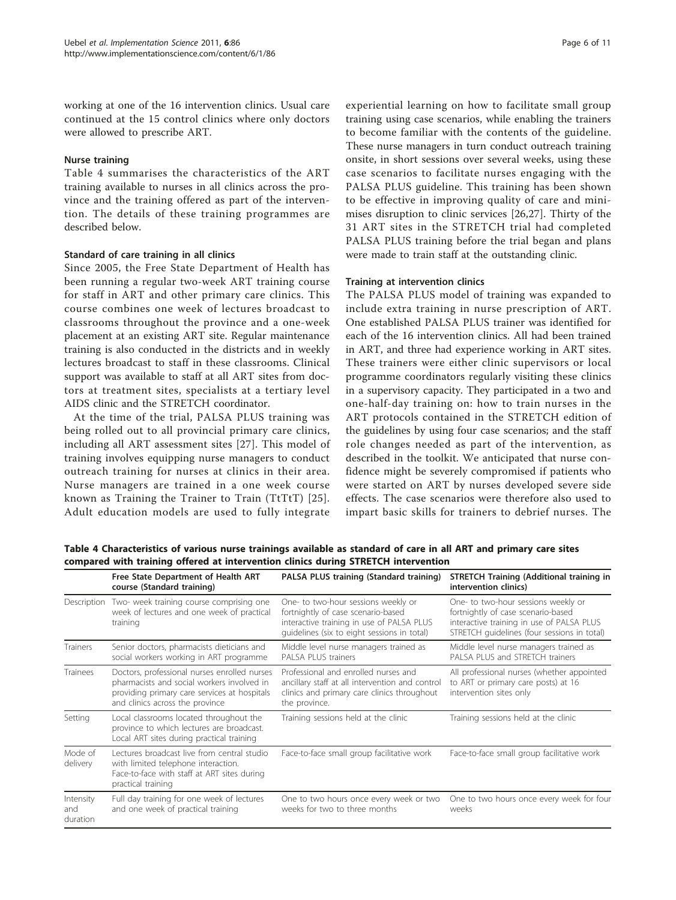working at one of the 16 intervention clinics. Usual care continued at the 15 control clinics where only doctors were allowed to prescribe ART.

#### Nurse training

Table 4 summarises the characteristics of the ART training available to nurses in all clinics across the province and the training offered as part of the intervention. The details of these training programmes are described below.

#### Standard of care training in all clinics

Since 2005, the Free State Department of Health has been running a regular two-week ART training course for staff in ART and other primary care clinics. This course combines one week of lectures broadcast to classrooms throughout the province and a one-week placement at an existing ART site. Regular maintenance training is also conducted in the districts and in weekly lectures broadcast to staff in these classrooms. Clinical support was available to staff at all ART sites from doctors at treatment sites, specialists at a tertiary level AIDS clinic and the STRETCH coordinator.

At the time of the trial, PALSA PLUS training was being rolled out to all provincial primary care clinics, including all ART assessment sites [\[27\]](#page-9-0). This model of training involves equipping nurse managers to conduct outreach training for nurses at clinics in their area. Nurse managers are trained in a one week course known as Training the Trainer to Train (TtTtT) [[25\]](#page-9-0). Adult education models are used to fully integrate

experiential learning on how to facilitate small group training using case scenarios, while enabling the trainers to become familiar with the contents of the guideline. These nurse managers in turn conduct outreach training onsite, in short sessions over several weeks, using these case scenarios to facilitate nurses engaging with the PALSA PLUS guideline. This training has been shown to be effective in improving quality of care and minimises disruption to clinic services [[26,27\]](#page-9-0). Thirty of the 31 ART sites in the STRETCH trial had completed PALSA PLUS training before the trial began and plans were made to train staff at the outstanding clinic.

# Training at intervention clinics

The PALSA PLUS model of training was expanded to include extra training in nurse prescription of ART. One established PALSA PLUS trainer was identified for each of the 16 intervention clinics. All had been trained in ART, and three had experience working in ART sites. These trainers were either clinic supervisors or local programme coordinators regularly visiting these clinics in a supervisory capacity. They participated in a two and one-half-day training on: how to train nurses in the ART protocols contained in the STRETCH edition of the guidelines by using four case scenarios; and the staff role changes needed as part of the intervention, as described in the toolkit. We anticipated that nurse confidence might be severely compromised if patients who were started on ART by nurses developed severe side effects. The case scenarios were therefore also used to impart basic skills for trainers to debrief nurses. The

|                              | Free State Department of Health ART<br>course (Standard training)                                                                                                             | PALSA PLUS training (Standard training)                                                                                                                               | <b>STRETCH Training (Additional training in</b><br>intervention clinics)                                                                                              |
|------------------------------|-------------------------------------------------------------------------------------------------------------------------------------------------------------------------------|-----------------------------------------------------------------------------------------------------------------------------------------------------------------------|-----------------------------------------------------------------------------------------------------------------------------------------------------------------------|
| Description                  | Two- week training course comprising one<br>week of lectures and one week of practical<br>training                                                                            | One- to two-hour sessions weekly or<br>fortnightly of case scenario-based<br>interactive training in use of PALSA PLUS<br>quidelines (six to eight sessions in total) | One- to two-hour sessions weekly or<br>fortnightly of case scenario-based<br>interactive training in use of PALSA PLUS<br>STRETCH quidelines (four sessions in total) |
| Trainers                     | Senior doctors, pharmacists dieticians and<br>social workers working in ART programme                                                                                         | Middle level nurse managers trained as<br>PALSA PLUS trainers                                                                                                         | Middle level nurse managers trained as<br>PALSA PLUS and STRETCH trainers                                                                                             |
| <b>Trainees</b>              | Doctors, professional nurses enrolled nurses<br>pharmacists and social workers involved in<br>providing primary care services at hospitals<br>and clinics across the province | Professional and enrolled nurses and<br>ancillary staff at all intervention and control<br>clinics and primary care clinics throughout<br>the province.               | All professional nurses (whether appointed<br>to ART or primary care posts) at 16<br>intervention sites only                                                          |
| Setting                      | Local classrooms located throughout the<br>province to which lectures are broadcast.<br>Local ART sites during practical training                                             | Training sessions held at the clinic                                                                                                                                  | Training sessions held at the clinic                                                                                                                                  |
| Mode of<br>delivery          | Lectures broadcast live from central studio<br>with limited telephone interaction.<br>Face-to-face with staff at ART sites during<br>practical training                       | Face-to-face small group facilitative work                                                                                                                            | Face-to-face small group facilitative work                                                                                                                            |
| Intensity<br>and<br>duration | Full day training for one week of lectures<br>and one week of practical training                                                                                              | One to two hours once every week or two<br>weeks for two to three months                                                                                              | One to two hours once every week for four<br>weeks                                                                                                                    |

Table 4 Characteristics of various nurse trainings available as standard of care in all ART and primary care sites compared with training offered at intervention clinics during STRETCH intervention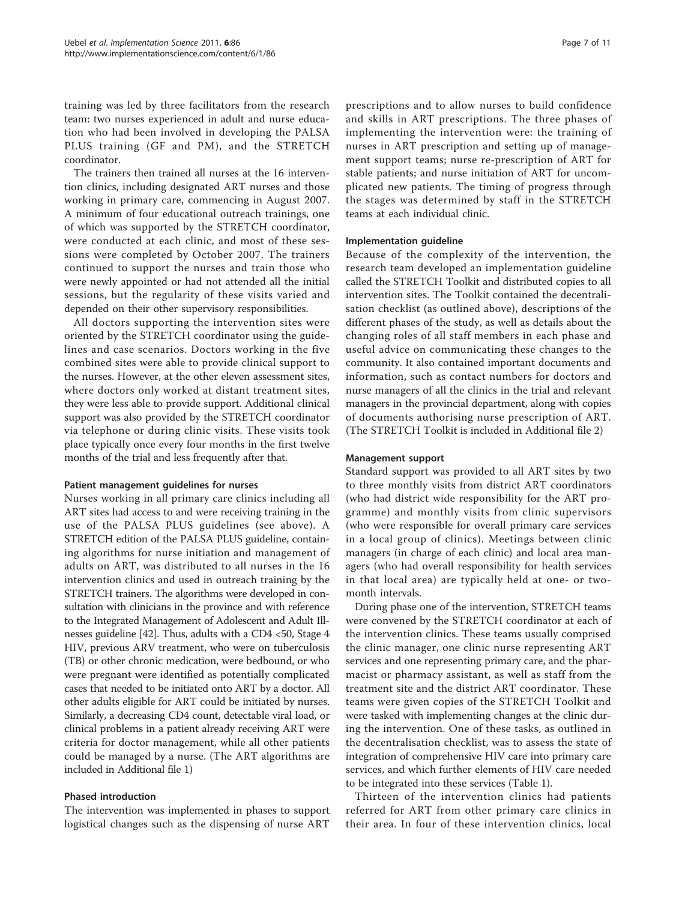training was led by three facilitators from the research team: two nurses experienced in adult and nurse education who had been involved in developing the PALSA PLUS training (GF and PM), and the STRETCH coordinator.

The trainers then trained all nurses at the 16 intervention clinics, including designated ART nurses and those working in primary care, commencing in August 2007. A minimum of four educational outreach trainings, one of which was supported by the STRETCH coordinator, were conducted at each clinic, and most of these sessions were completed by October 2007. The trainers continued to support the nurses and train those who were newly appointed or had not attended all the initial sessions, but the regularity of these visits varied and depended on their other supervisory responsibilities.

All doctors supporting the intervention sites were oriented by the STRETCH coordinator using the guidelines and case scenarios. Doctors working in the five combined sites were able to provide clinical support to the nurses. However, at the other eleven assessment sites, where doctors only worked at distant treatment sites, they were less able to provide support. Additional clinical support was also provided by the STRETCH coordinator via telephone or during clinic visits. These visits took place typically once every four months in the first twelve months of the trial and less frequently after that.

#### Patient management guidelines for nurses

Nurses working in all primary care clinics including all ART sites had access to and were receiving training in the use of the PALSA PLUS guidelines (see above). A STRETCH edition of the PALSA PLUS guideline, containing algorithms for nurse initiation and management of adults on ART, was distributed to all nurses in the 16 intervention clinics and used in outreach training by the STRETCH trainers. The algorithms were developed in consultation with clinicians in the province and with reference to the Integrated Management of Adolescent and Adult Illnesses guideline [[42](#page-9-0)]. Thus, adults with a CD4 <50, Stage 4 HIV, previous ARV treatment, who were on tuberculosis (TB) or other chronic medication, were bedbound, or who were pregnant were identified as potentially complicated cases that needed to be initiated onto ART by a doctor. All other adults eligible for ART could be initiated by nurses. Similarly, a decreasing CD4 count, detectable viral load, or clinical problems in a patient already receiving ART were criteria for doctor management, while all other patients could be managed by a nurse. (The ART algorithms are included in Additional file [1\)](#page-8-0)

#### Phased introduction

The intervention was implemented in phases to support logistical changes such as the dispensing of nurse ART

prescriptions and to allow nurses to build confidence and skills in ART prescriptions. The three phases of implementing the intervention were: the training of nurses in ART prescription and setting up of management support teams; nurse re-prescription of ART for stable patients; and nurse initiation of ART for uncomplicated new patients. The timing of progress through the stages was determined by staff in the STRETCH teams at each individual clinic.

#### Implementation guideline

Because of the complexity of the intervention, the research team developed an implementation guideline called the STRETCH Toolkit and distributed copies to all intervention sites. The Toolkit contained the decentralisation checklist (as outlined above), descriptions of the different phases of the study, as well as details about the changing roles of all staff members in each phase and useful advice on communicating these changes to the community. It also contained important documents and information, such as contact numbers for doctors and nurse managers of all the clinics in the trial and relevant managers in the provincial department, along with copies of documents authorising nurse prescription of ART. (The STRETCH Toolkit is included in Additional file [2\)](#page-8-0)

#### Management support

Standard support was provided to all ART sites by two to three monthly visits from district ART coordinators (who had district wide responsibility for the ART programme) and monthly visits from clinic supervisors (who were responsible for overall primary care services in a local group of clinics). Meetings between clinic managers (in charge of each clinic) and local area managers (who had overall responsibility for health services in that local area) are typically held at one- or twomonth intervals.

During phase one of the intervention, STRETCH teams were convened by the STRETCH coordinator at each of the intervention clinics. These teams usually comprised the clinic manager, one clinic nurse representing ART services and one representing primary care, and the pharmacist or pharmacy assistant, as well as staff from the treatment site and the district ART coordinator. These teams were given copies of the STRETCH Toolkit and were tasked with implementing changes at the clinic during the intervention. One of these tasks, as outlined in the decentralisation checklist, was to assess the state of integration of comprehensive HIV care into primary care services, and which further elements of HIV care needed to be integrated into these services (Table [1\)](#page-2-0).

Thirteen of the intervention clinics had patients referred for ART from other primary care clinics in their area. In four of these intervention clinics, local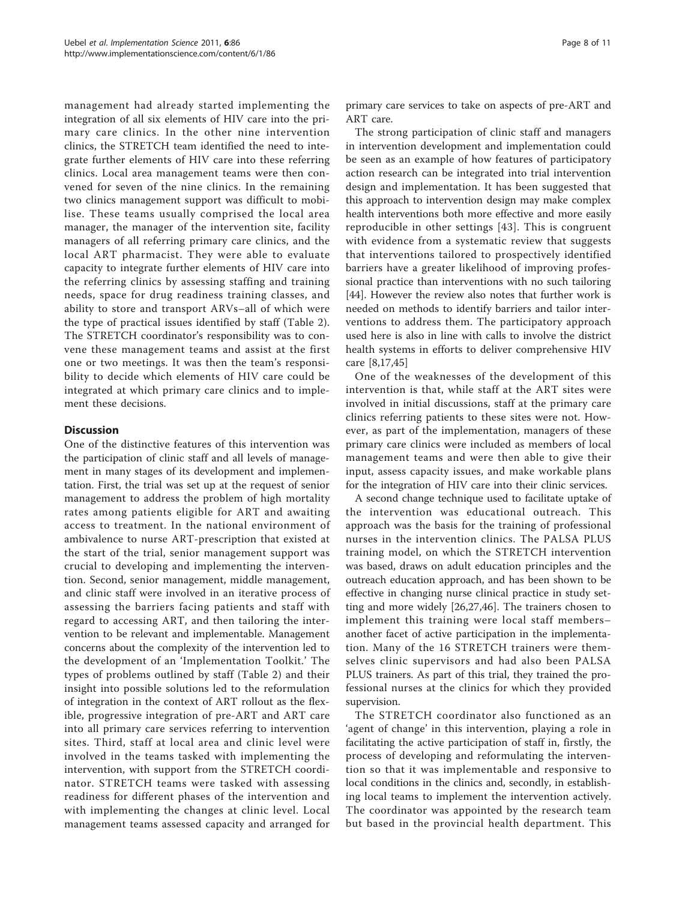management had already started implementing the integration of all six elements of HIV care into the primary care clinics. In the other nine intervention clinics, the STRETCH team identified the need to integrate further elements of HIV care into these referring clinics. Local area management teams were then convened for seven of the nine clinics. In the remaining two clinics management support was difficult to mobilise. These teams usually comprised the local area manager, the manager of the intervention site, facility managers of all referring primary care clinics, and the local ART pharmacist. They were able to evaluate capacity to integrate further elements of HIV care into the referring clinics by assessing staffing and training needs, space for drug readiness training classes, and ability to store and transport ARVs–all of which were the type of practical issues identified by staff (Table [2](#page-3-0)). The STRETCH coordinator's responsibility was to convene these management teams and assist at the first one or two meetings. It was then the team's responsibility to decide which elements of HIV care could be integrated at which primary care clinics and to implement these decisions.

#### Discussion

One of the distinctive features of this intervention was the participation of clinic staff and all levels of management in many stages of its development and implementation. First, the trial was set up at the request of senior management to address the problem of high mortality rates among patients eligible for ART and awaiting access to treatment. In the national environment of ambivalence to nurse ART-prescription that existed at the start of the trial, senior management support was crucial to developing and implementing the intervention. Second, senior management, middle management, and clinic staff were involved in an iterative process of assessing the barriers facing patients and staff with regard to accessing ART, and then tailoring the intervention to be relevant and implementable. Management concerns about the complexity of the intervention led to the development of an 'Implementation Toolkit.' The types of problems outlined by staff (Table [2](#page-3-0)) and their insight into possible solutions led to the reformulation of integration in the context of ART rollout as the flexible, progressive integration of pre-ART and ART care into all primary care services referring to intervention sites. Third, staff at local area and clinic level were involved in the teams tasked with implementing the intervention, with support from the STRETCH coordinator. STRETCH teams were tasked with assessing readiness for different phases of the intervention and with implementing the changes at clinic level. Local management teams assessed capacity and arranged for primary care services to take on aspects of pre-ART and ART care.

The strong participation of clinic staff and managers in intervention development and implementation could be seen as an example of how features of participatory action research can be integrated into trial intervention design and implementation. It has been suggested that this approach to intervention design may make complex health interventions both more effective and more easily reproducible in other settings [[43](#page-9-0)]. This is congruent with evidence from a systematic review that suggests that interventions tailored to prospectively identified barriers have a greater likelihood of improving professional practice than interventions with no such tailoring [[44\]](#page-9-0). However the review also notes that further work is needed on methods to identify barriers and tailor interventions to address them. The participatory approach used here is also in line with calls to involve the district health systems in efforts to deliver comprehensive HIV care [[8,](#page-8-0)[17,45\]](#page-9-0)

One of the weaknesses of the development of this intervention is that, while staff at the ART sites were involved in initial discussions, staff at the primary care clinics referring patients to these sites were not. However, as part of the implementation, managers of these primary care clinics were included as members of local management teams and were then able to give their input, assess capacity issues, and make workable plans for the integration of HIV care into their clinic services.

A second change technique used to facilitate uptake of the intervention was educational outreach. This approach was the basis for the training of professional nurses in the intervention clinics. The PALSA PLUS training model, on which the STRETCH intervention was based, draws on adult education principles and the outreach education approach, and has been shown to be effective in changing nurse clinical practice in study setting and more widely [[26](#page-9-0),[27,46\]](#page-9-0). The trainers chosen to implement this training were local staff members– another facet of active participation in the implementation. Many of the 16 STRETCH trainers were themselves clinic supervisors and had also been PALSA PLUS trainers. As part of this trial, they trained the professional nurses at the clinics for which they provided supervision.

The STRETCH coordinator also functioned as an 'agent of change' in this intervention, playing a role in facilitating the active participation of staff in, firstly, the process of developing and reformulating the intervention so that it was implementable and responsive to local conditions in the clinics and, secondly, in establishing local teams to implement the intervention actively. The coordinator was appointed by the research team but based in the provincial health department. This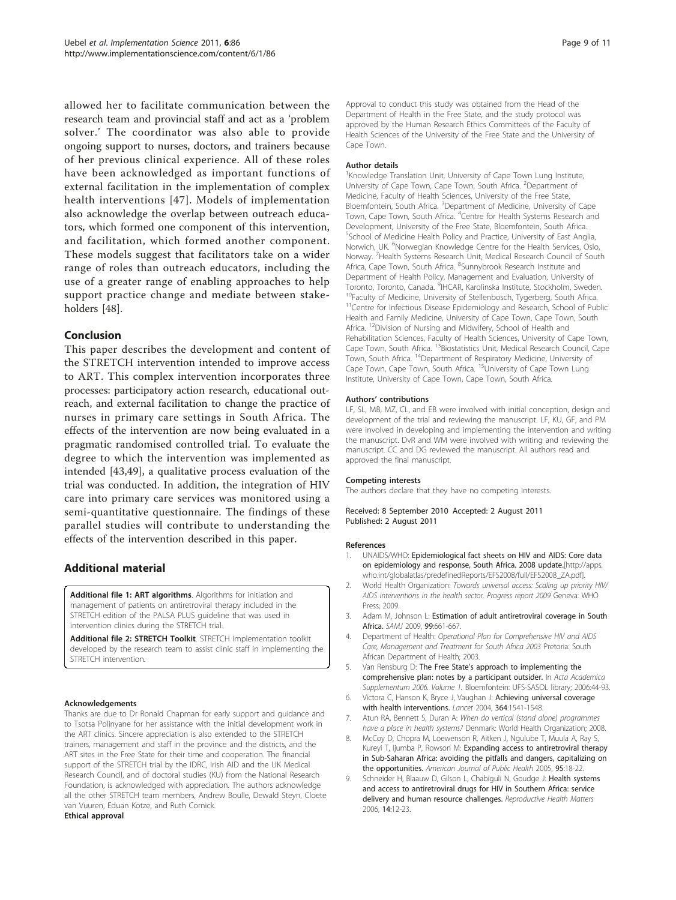<span id="page-8-0"></span>allowed her to facilitate communication between the research team and provincial staff and act as a 'problem solver.' The coordinator was also able to provide ongoing support to nurses, doctors, and trainers because of her previous clinical experience. All of these roles have been acknowledged as important functions of external facilitation in the implementation of complex health interventions [[47](#page-10-0)]. Models of implementation also acknowledge the overlap between outreach educators, which formed one component of this intervention, and facilitation, which formed another component. These models suggest that facilitators take on a wider range of roles than outreach educators, including the use of a greater range of enabling approaches to help support practice change and mediate between stakeholders [[48\]](#page-10-0).

### Conclusion

This paper describes the development and content of the STRETCH intervention intended to improve access to ART. This complex intervention incorporates three processes: participatory action research, educational outreach, and external facilitation to change the practice of nurses in primary care settings in South Africa. The effects of the intervention are now being evaluated in a pragmatic randomised controlled trial. To evaluate the degree to which the intervention was implemented as intended [[43,](#page-9-0)[49](#page-10-0)], a qualitative process evaluation of the trial was conducted. In addition, the integration of HIV care into primary care services was monitored using a semi-quantitative questionnaire. The findings of these parallel studies will contribute to understanding the effects of the intervention described in this paper.

## Additional material

[Additional file 1: A](http://www.biomedcentral.com/content/supplementary/1748-5908-6-86-S1.PDF)RT algorithms. Algorithms for initiation and management of patients on antiretroviral therapy included in the STRETCH edition of the PALSA PLUS guideline that was used in intervention clinics during the STRETCH trial.

[Additional file 2: S](http://www.biomedcentral.com/content/supplementary/1748-5908-6-86-S2.PDF)TRETCH Toolkit. STRETCH Implementation toolkit developed by the research team to assist clinic staff in implementing the STRETCH intervention.

#### Acknowledgements

Thanks are due to Dr Ronald Chapman for early support and guidance and to Tsotsa Polinyane for her assistance with the initial development work in the ART clinics. Sincere appreciation is also extended to the STRETCH trainers, management and staff in the province and the districts, and the ART sites in the Free State for their time and cooperation. The financial support of the STRETCH trial by the IDRC, Irish AID and the UK Medical Research Council, and of doctoral studies (KU) from the National Research Foundation, is acknowledged with appreciation. The authors acknowledge all the other STRETCH team members, Andrew Boulle, Dewald Steyn, Cloete van Vuuren, Eduan Kotze, and Ruth Cornick.

Approval to conduct this study was obtained from the Head of the Department of Health in the Free State, and the study protocol was approved by the Human Research Ethics Committees of the Faculty of Health Sciences of the University of the Free State and the University of Cape Town.

#### Author details

<sup>1</sup> Knowledge Translation Unit, University of Cape Town Lung Institute, University of Cape Town, Cape Town, South Africa. <sup>2</sup>Department of Medicine, Faculty of Health Sciences, University of the Free State, Bloemfontein, South Africa. <sup>3</sup>Department of Medicine, University of Cape Town, Cape Town, South Africa. <sup>4</sup>Centre for Health Systems Research and Development, University of the Free State, Bloemfontein, South Africa. 5 School of Medicine Health Policy and Practice, University of East Anglia, Norwich, UK. <sup>6</sup>Norwegian Knowledge Centre for the Health Services, Oslo, Norway. <sup>7</sup> Health Systems Research Unit, Medical Research Council of South Africa, Cape Town, South Africa. <sup>8</sup>Sunnybrook Research Institute and Department of Health Policy, Management and Evaluation, University of Toronto, Toronto, Canada. <sup>9</sup>IHCAR, Karolinska Institute, Stockholm, Sweden<br><sup>10</sup>Faculty of Medicine, University of Stellenbosch, Tygerberg, South Africa. <sup>11</sup>Centre for Infectious Disease Epidemiology and Research, School of Public Health and Family Medicine, University of Cape Town, Cape Town, South Africa. 12Division of Nursing and Midwifery, School of Health and Rehabilitation Sciences, Faculty of Health Sciences, University of Cape Town, Cape Town, South Africa. <sup>13</sup>Biostatistics Unit, Medical Research Council, Cape Town, South Africa. 14Department of Respiratory Medicine, University of Cape Town, Cape Town, South Africa. 15University of Cape Town Lung Institute, University of Cape Town, Cape Town, South Africa.

#### Authors' contributions

LF, SL, MB, MZ, CL, and EB were involved with initial conception, design and development of the trial and reviewing the manuscript. LF, KU, GF, and PM were involved in developing and implementing the intervention and writing the manuscript. DvR and WM were involved with writing and reviewing the manuscript. CC and DG reviewed the manuscript. All authors read and approved the final manuscript.

#### Competing interests

The authors declare that they have no competing interests.

Received: 8 September 2010 Accepted: 2 August 2011 Published: 2 August 2011

#### References

- 1. UNAIDS/WHO: Epidemiological fact sheets on HIV and AIDS: Core data on epidemiology and response, South Africa. 2008 update.[[http://apps.](http://apps.who.int/globalatlas/predefinedReports/EFS2008/full/EFS2008_ZA.pdf) [who.int/globalatlas/predefinedReports/EFS2008/full/EFS2008\\_ZA.pdf\]](http://apps.who.int/globalatlas/predefinedReports/EFS2008/full/EFS2008_ZA.pdf).
- 2. World Health Organization: Towards universal access: Scaling up priority HIV/ AIDS interventions in the health sector. Progress report 2009 Geneva: WHO Press; 2009.
- 3. Adam M, Johnson L: Estimation of adult antiretroviral coverage in South Africa. SAMJ 2009, 99:661-667.
- 4. Department of Health: Operational Plan for Comprehensive HIV and AIDS Care, Management and Treatment for South Africa 2003 Pretoria: South African Department of Health; 2003.
- 5. Van Rensburg D: The Free State's approach to implementing the comprehensive plan: notes by a participant outsider. In Acta Academica Supplementum 2006. Volume 1. Bloemfontein: UFS-SASOL library; 2006:44-93.
- 6. Victora C, Hanson K, Bryce J, Vaughan J: Achieving universal coverage with health interventions. Lancet 2004, 364:1541-1548.
- 7. Atun RA, Bennett S, Duran A: When do vertical (stand alone) programmes have a place in health systems? Denmark: World Health Organization; 2008.
- 8. McCoy D, Chopra M, Loewenson R, Aitken J, Ngulube T, Muula A, Ray S, Kureyi T, Ijumba P, Rowson M: Expanding access to antiretroviral therapy in Sub-Saharan Africa: avoiding the pitfalls and dangers, capitalizing on the opportunities. American Journal of Public Health 2005, 95:18-22.
- 9. Schneider H, Blaauw D, Gilson L, Chabiguli N, Goudge J: Health systems and access to antiretroviral drugs for HIV in Southern Africa: service delivery and human resource challenges. Reproductive Health Matters 2006, 14:12-23.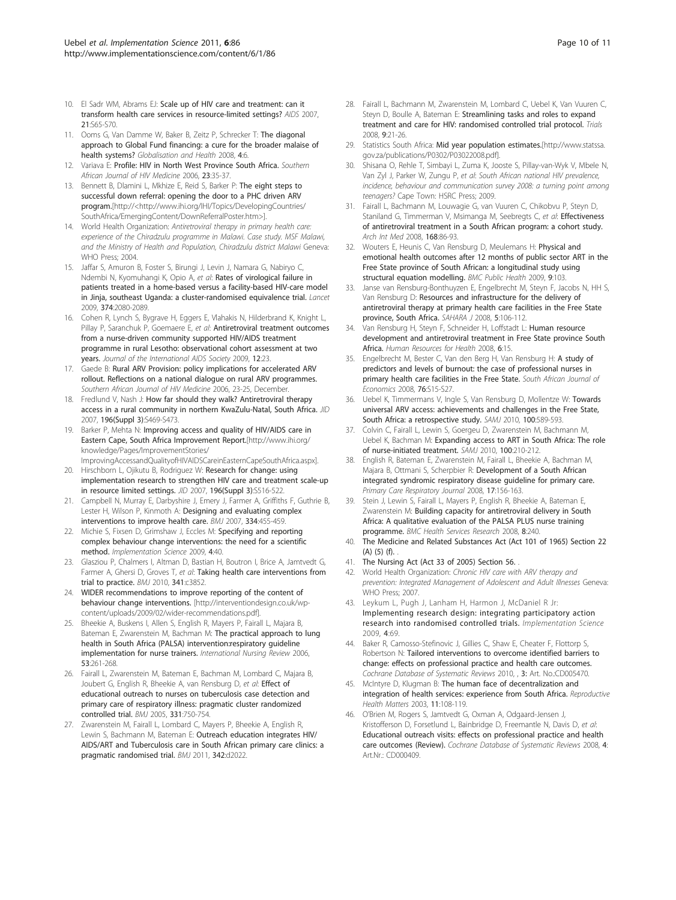- <span id="page-9-0"></span>10. El Sadr WM, Abrams EJ: Scale up of HIV care and treatment: can it transform health care services in resource-limited settings? AIDS 2007, 21:S65-S70.
- 11. Ooms G, Van Damme W, Baker B, Zeitz P, Schrecker T: The diagonal approach to Global Fund financing: a cure for the broader malaise of health systems? Globalisation and Health 2008, 4:6.
- 12. Variava E: Profile: HIV in North West Province South Africa. Southern African Journal of HIV Medicine 2006, 23:35-37.
- 13. Bennett B, Dlamini L, Mkhize E, Reid S, Barker P: The eight steps to successful down referral: opening the door to a PHC driven ARV program.[[http://<http://www.ihi.org/IHI/Topics/DevelopingCountries/](http://<http://www.ihi.org/IHI/Topics/DevelopingCountries/SouthAfrica/EmergingContent/DownReferralPoster.htm>) [SouthAfrica/EmergingContent/DownReferralPoster.htm>](http://<http://www.ihi.org/IHI/Topics/DevelopingCountries/SouthAfrica/EmergingContent/DownReferralPoster.htm>)].
- 14. World Health Organization: Antiretroviral therapy in primary health care: experience of the Chiradzulu programme in Malawi. Case study. MSF Malawi, and the Ministry of Health and Population, Chiradzulu district Malawi Geneva: WHO Press; 2004.
- 15. Jaffar S, Amuron B, Foster S, Birungi J, Levin J, Namara G, Nabiryo C, Ndembi N, Kyomuhangi K, Opio A, et al: Rates of virological failure in patients treated in a home-based versus a facility-based HIV-care model in Jinja, southeast Uganda: a cluster-randomised equivalence trial. Lancet 2009, 374:2080-2089.
- 16. Cohen R, Lynch S, Bygrave H, Eggers E, Vlahakis N, Hilderbrand K, Knight L, Pillay P, Saranchuk P, Goemaere E, et al: Antiretroviral treatment outcomes from a nurse-driven community supported HIV/AIDS treatment programme in rural Lesotho: observational cohort assessment at two years. Journal of the International AIDS Society 2009, 12:23.
- 17. Gaede B: Rural ARV Provision: policy implications for accelerated ARV rollout. Reflections on a national dialogue on rural ARV programmes. Southern African Journal of HIV Medicine 2006, 23-25, December
- 18. Fredlund V, Nash J: How far should they walk? Antiretroviral therapy access in a rural community in northern KwaZulu-Natal, South Africa. JID 2007, 196(Suppl 3):S469-S473.
- 19. Barker P, Mehta N: Improving access and quality of HIV/AIDS care in Eastern Cape, South Africa Improvement Report.[\[http://www.ihi.org/](http://www.ihi.org/knowledge/Pages/ImprovementStories/ImprovingAccessandQualityofHIVAIDSCareinEasternCapeSouthAfrica.aspx) [knowledge/Pages/ImprovementStories/](http://www.ihi.org/knowledge/Pages/ImprovementStories/ImprovingAccessandQualityofHIVAIDSCareinEasternCapeSouthAfrica.aspx) [ImprovingAccessandQualityofHIVAIDSCareinEasternCapeSouthAfrica.aspx\]](http://www.ihi.org/knowledge/Pages/ImprovementStories/ImprovingAccessandQualityofHIVAIDSCareinEasternCapeSouthAfrica.aspx).
- 20. Hirschborn L, Ojikutu B, Rodriguez W: Research for change: using implementation research to strengthen HIV care and treatment scale-up in resource limited settings. JID 2007, 196(Suppl 3):S516-522.
- 21. Campbell N, Murray E, Darbyshire J, Emery J, Farmer A, Griffiths F, Guthrie B, Lester H, Wilson P, Kinmoth A: Designing and evaluating complex interventions to improve health care. BMJ 2007, 334:455-459.
- 22. Michie S, Fixsen D, Grimshaw J, Eccles M: Specifying and reporting complex behaviour change interventions: the need for a scientific method. Implementation Science 2009, 4:40.
- 23. Glasziou P, Chalmers I, Altman D, Bastian H, Boutron I, Brice A, Jamtvedt G, Farmer A, Ghersi D, Groves T, et al: Taking health care interventions from trial to practice. BMJ 2010, 341:c3852.
- 24. WIDER recommendations to improve reporting of the content of behaviour change interventions. [[http://interventiondesign.co.uk/wp](http://interventiondesign.co.uk/wp-content/uploads/2009/02/wider-recommendations.pdf)[content/uploads/2009/02/wider-recommendations.pdf\]](http://interventiondesign.co.uk/wp-content/uploads/2009/02/wider-recommendations.pdf).
- 25. Bheekie A, Buskens I, Allen S, English R, Mayers P, Fairall L, Majara B, Bateman E, Zwarenstein M, Bachman M: The practical approach to lung health in South Africa (PALSA) intervention:respiratory guideline implementation for nurse trainers. International Nursing Review 2006, 53:261-268.
- 26. Fairall L, Zwarenstein M, Bateman E, Bachman M, Lombard C, Majara B, Joubert G, English R, Bheekie A, van Rensburg D, et al: Effect of educational outreach to nurses on tuberculosis case detection and primary care of respiratory illness: pragmatic cluster randomized controlled trial. BMJ 2005, 331:750-754.
- 27. Zwarenstein M, Fairall L, Lombard C, Mayers P, Bheekie A, English R, Lewin S, Bachmann M, Bateman E: Outreach education integrates HIV/ AIDS/ART and Tuberculosis care in South African primary care clinics: a pragmatic randomised trial. BMJ 2011, 342:d2022.
- 28. Fairall L, Bachmann M, Zwarenstein M, Lombard C, Uebel K, Van Vuuren C, Steyn D, Boulle A, Bateman E: Streamlining tasks and roles to expand treatment and care for HIV: randomised controlled trial protocol. Trials 2008, 9:21-26.
- 29. Statistics South Africa: Mid year population estimates.[\[http://www.statssa.](http://www.statssa.gov.za/publications/P0302/P03022008.pdf) [gov.za/publications/P0302/P03022008.pdf\]](http://www.statssa.gov.za/publications/P0302/P03022008.pdf).
- 30. Shisana O, Rehle T, Simbayi L, Zuma K, Jooste S, Pillay-van-Wyk V, Mbele N, Van Zyl J, Parker W, Zungu P, et al: South African national HIV prevalence, incidence, behaviour and communication survey 2008: a turning point among teenagers? Cape Town: HSRC Press; 2009.
- 31. Fairall L, Bachmann M, Louwagie G, van Vuuren C, Chikobvu P, Steyn D, Staniland G, Timmerman V, Msimanga M, Seebregts C, et al: Effectiveness of antiretroviral treatment in a South African program: a cohort study. Arch Int Med 2008, 168:86-93.
- 32. Wouters E, Heunis C, Van Rensburg D, Meulemans H: Physical and emotional health outcomes after 12 months of public sector ART in the Free State province of South African: a longitudinal study using structural equation modelling. BMC Public Health 2009, 9:103.
- Janse van Rensburg-Bonthuyzen E, Engelbrecht M, Steyn F, Jacobs N, HH S, Van Rensburg D: Resources and infrastructure for the delivery of antiretroviral therapy at primary health care facilities in the Free State province, South Africa. SAHARA J 2008, 5:106-112.
- 34. Van Rensburg H, Steyn F, Schneider H, Loffstadt L: Human resource development and antiretroviral treatment in Free State province South Africa. Human Resources for Health 2008, 6:15.
- 35. Engelbrecht M, Bester C, Van den Berg H, Van Rensburg H: A study of predictors and levels of burnout: the case of professional nurses in primary health care facilities in the Free State. South African Journal of Economics 2008, 76:S15-S27.
- 36. Uebel K, Timmermans V, Ingle S, Van Rensburg D, Mollentze W: Towards universal ARV access: achievements and challenges in the Free State, South Africa: a retrospective study. SAMJ 2010, 100:589-593
- 37. Colvin C, Fairall L, Lewin S, Goergeu D, Zwarenstein M, Bachmann M, Uebel K, Bachman M: Expanding access to ART in South Africa: The role of nurse-initiated treatment. SAMJ 2010, 100:210-212.
- 38. English R, Bateman E, Zwarenstein M, Fairall L, Bheekie A, Bachman M, Majara B, Ottmani S, Scherpbier R: Development of a South African integrated syndromic respiratory disease guideline for primary care. Primary Care Respiratory Journal 2008, 17:156-163.
- 39. Stein J, Lewin S, Fairall L, Mayers P, English R, Bheekie A, Bateman E, Zwarenstein M: Building capacity for antiretroviral delivery in South Africa: A qualitative evaluation of the PALSA PLUS nurse training programme. BMC Health Services Research 2008, 8:240.
- 40. The Medicine and Related Substances Act (Act 101 of 1965) Section 22  $(A)$   $(5)$   $(f)$ .
- 41. The Nursing Act (Act 33 of 2005) Section 56.
- 42. World Health Organization: Chronic HIV care with ARV therapy and prevention: Integrated Management of Adolescent and Adult Illnesses Geneva: WHO Press; 2007
- 43. Leykum L, Pugh J, Lanham H, Harmon J, McDaniel R Jr: Implementing research design: integrating participatory action research into randomised controlled trials. Implementation Science 2009, 4:69.
- 44. Baker R, Camosso-Stefinovic J, Gillies C, Shaw E, Cheater F, Flottorp S, Robertson N: Tailored interventions to overcome identified barriers to change: effects on professional practice and health care outcomes. Cochrane Database of Systematic Reviews 2010, , 3: Art. No.:CD005470.
- 45. McIntyre D, Klugman B: The human face of decentralization and integration of health services: experience from South Africa. Reproductive Health Matters 2003, 11:108-119.
- 46. O'Brien M, Rogers S, Jamtvedt G, Oxman A, Odgaard-Jensen J, Kristofferson D, Forsetlund L, Bainbridge D, Freemantle N, Davis D, et al: Educational outreach visits: effects on professional practice and health care outcomes (Review). Cochrane Database of Systematic Reviews 2008, 4: Art.Nr.: CD000409.